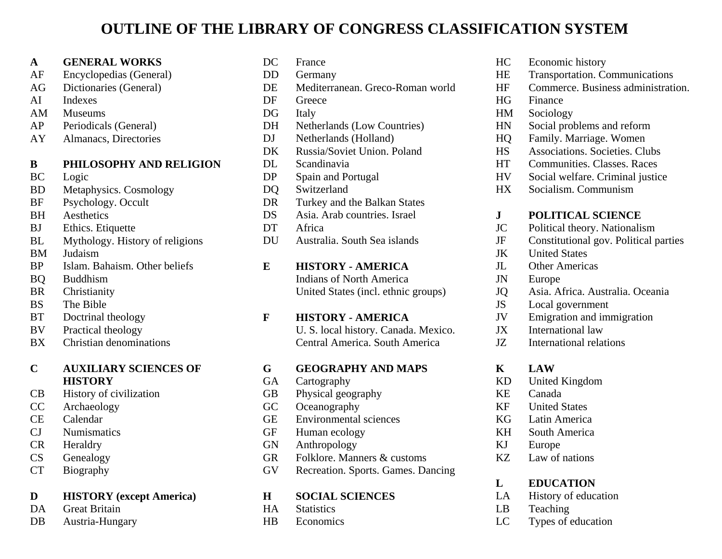# **OUTLINE OF THE LIBRARY OF CONGRESS CLASSIFICATION SYSTEM**

#### **A GENERAL WORKS**

- AF Encyclopedias (General)
- AG Dictionaries (General)
- AI Indexes
- AM Museums
- AP Periodicals (General)
- AY Almanacs, Directories

#### **B PHILOSOPHY AND RELIGION**

- BC Logic
- BD Metaphysics. Cosmology
- BF Psychology. Occult
- BH Aesthetics
- BJ Ethics. Etiquette
- BL Mythology. History of religions
- BM Judaism
- BP Islam. Bahaism. Other beliefs
- BQ Buddhism
- BR Christianity
- BS The Bible
- BT Doctrinal theology
- BV Practical theology
- BX Christian denominations

#### **C AUXILIARY SCIENCES OF HISTORY**

- CB History of civilization
- CC Archaeology
- CE Calendar
- CJ Numismatics
- CR Heraldry
- CS Genealogy
- CT Biography

#### **D HISTORY (except America)**

- DA Great Britain
- DB Austria-Hungary

| DC              | France                                                                 |  |  |  |  |
|-----------------|------------------------------------------------------------------------|--|--|--|--|
| DD              | Germany                                                                |  |  |  |  |
| DE              | Mediterranean. Greco-Roman world                                       |  |  |  |  |
| DF              | Greece                                                                 |  |  |  |  |
| DG              | Italy                                                                  |  |  |  |  |
| DH              | <b>Netherlands (Low Countries)</b>                                     |  |  |  |  |
| DJ              | Netherlands (Holland)                                                  |  |  |  |  |
| DK              | Russia/Soviet Union. Poland                                            |  |  |  |  |
| DL              | Scandinavia                                                            |  |  |  |  |
| DP              | Spain and Portugal                                                     |  |  |  |  |
| DO.             | Switzerland                                                            |  |  |  |  |
| DR              | Turkey and the Balkan States                                           |  |  |  |  |
| DS              | Asia. Arab countries. Israel                                           |  |  |  |  |
| DT              | Africa                                                                 |  |  |  |  |
| DU              | Australia. South Sea islands                                           |  |  |  |  |
|                 |                                                                        |  |  |  |  |
|                 |                                                                        |  |  |  |  |
| E               | <b>HISTORY - AMERICA</b>                                               |  |  |  |  |
|                 | <b>Indians of North America</b>                                        |  |  |  |  |
|                 | United States (incl. ethnic groups)                                    |  |  |  |  |
| F               | <b>HISTORY - AMERICA</b>                                               |  |  |  |  |
|                 |                                                                        |  |  |  |  |
|                 | U. S. local history. Canada. Mexico.<br>Central America. South America |  |  |  |  |
|                 |                                                                        |  |  |  |  |
| G               | <b>GEOGRAPHY AND MAPS</b>                                              |  |  |  |  |
| <b>GA</b><br>GB | Cartography                                                            |  |  |  |  |
| GC              | Physical geography                                                     |  |  |  |  |
| <b>GE</b>       | Oceanography<br><b>Environmental sciences</b>                          |  |  |  |  |
| GF              | Human ecology                                                          |  |  |  |  |

- GN Anthropology
- GR Folklore. Manners & customs
- GV Recreation. Sports. Games. Dancing

#### **H SOCIAL SCIENCES**

- HA Statistics
- HB Economics
- HC Economic history
- HE Transportation. Communications
- HF Commerce. Business administration.
- HG Finance
- HM Sociology
- HN Social problems and reform
- HQ Family. Marriage. Women
- HS Associations. Societies. Clubs
- HT Communities. Classes. Races
- HV Social welfare. Criminal justice
- HX Socialism. Communism

#### **J POLITICAL SCIENCE**

- JC Political theory. Nationalism
- JF Constitutional gov. Political parties
- JK United States
- JL Other Americas
- JN Europe
- JQ Asia. Africa. Australia. Oceania
- JS Local government
- JV Emigration and immigration
- JX International law
- JZ International relations

# **K LAW**

- KD United Kingdom
- KE Canada
- KF United States
- KG Latin America
- KH South America
- KJ Europe
- KZ Law of nations

#### **L EDUCATION**

- LA History of education
- LB Teaching
- LC Types of education